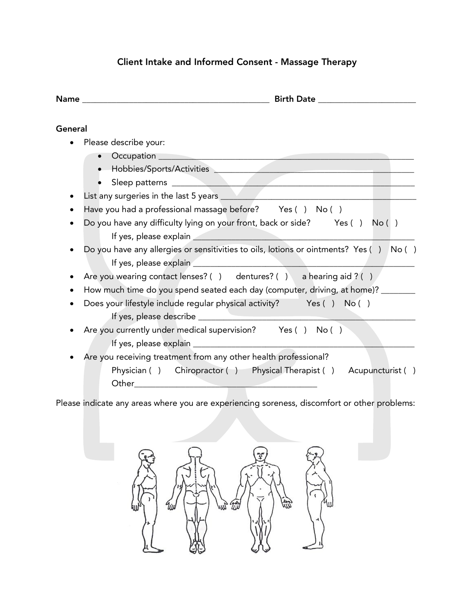## Client Intake and Informed Consent - Massage Therapy

| General<br>Please describe your:<br>Sleep patterns <b>Executive Contract of the Contract of the Contract of the Contract of the Contract of the Contract of the Contract of the Contract of the Contract of the Contract of the Contract of the Contract of the Cont</b><br>Have you had a professional massage before? Yes () No ()<br>Do you have any difficulty lying on your front, back or side? Yes () No ()<br>Do you have any allergies or sensitivities to oils, lotions or ointments? Yes () No ()<br>Are you wearing contact lenses? () dentures? () a hearing aid ? ()<br>How much time do you spend seated each day (computer, driving, at home)? _______ |
|------------------------------------------------------------------------------------------------------------------------------------------------------------------------------------------------------------------------------------------------------------------------------------------------------------------------------------------------------------------------------------------------------------------------------------------------------------------------------------------------------------------------------------------------------------------------------------------------------------------------------------------------------------------------|
|                                                                                                                                                                                                                                                                                                                                                                                                                                                                                                                                                                                                                                                                        |
|                                                                                                                                                                                                                                                                                                                                                                                                                                                                                                                                                                                                                                                                        |
|                                                                                                                                                                                                                                                                                                                                                                                                                                                                                                                                                                                                                                                                        |
|                                                                                                                                                                                                                                                                                                                                                                                                                                                                                                                                                                                                                                                                        |
|                                                                                                                                                                                                                                                                                                                                                                                                                                                                                                                                                                                                                                                                        |
|                                                                                                                                                                                                                                                                                                                                                                                                                                                                                                                                                                                                                                                                        |
|                                                                                                                                                                                                                                                                                                                                                                                                                                                                                                                                                                                                                                                                        |
|                                                                                                                                                                                                                                                                                                                                                                                                                                                                                                                                                                                                                                                                        |
|                                                                                                                                                                                                                                                                                                                                                                                                                                                                                                                                                                                                                                                                        |
|                                                                                                                                                                                                                                                                                                                                                                                                                                                                                                                                                                                                                                                                        |
|                                                                                                                                                                                                                                                                                                                                                                                                                                                                                                                                                                                                                                                                        |
|                                                                                                                                                                                                                                                                                                                                                                                                                                                                                                                                                                                                                                                                        |
|                                                                                                                                                                                                                                                                                                                                                                                                                                                                                                                                                                                                                                                                        |
| Does your lifestyle include regular physical activity? Yes () No ()                                                                                                                                                                                                                                                                                                                                                                                                                                                                                                                                                                                                    |
|                                                                                                                                                                                                                                                                                                                                                                                                                                                                                                                                                                                                                                                                        |
| Are you currently under medical supervision? Yes () No ()                                                                                                                                                                                                                                                                                                                                                                                                                                                                                                                                                                                                              |
|                                                                                                                                                                                                                                                                                                                                                                                                                                                                                                                                                                                                                                                                        |
| Are you receiving treatment from any other health professional?                                                                                                                                                                                                                                                                                                                                                                                                                                                                                                                                                                                                        |
| Physician () Chiropractor () Physical Therapist () Acupuncturist ()                                                                                                                                                                                                                                                                                                                                                                                                                                                                                                                                                                                                    |
| Other<br>the contract of the contract of the contract of                                                                                                                                                                                                                                                                                                                                                                                                                                                                                                                                                                                                               |

Please indicate any areas where you are experiencing soreness, discomfort or other problems: